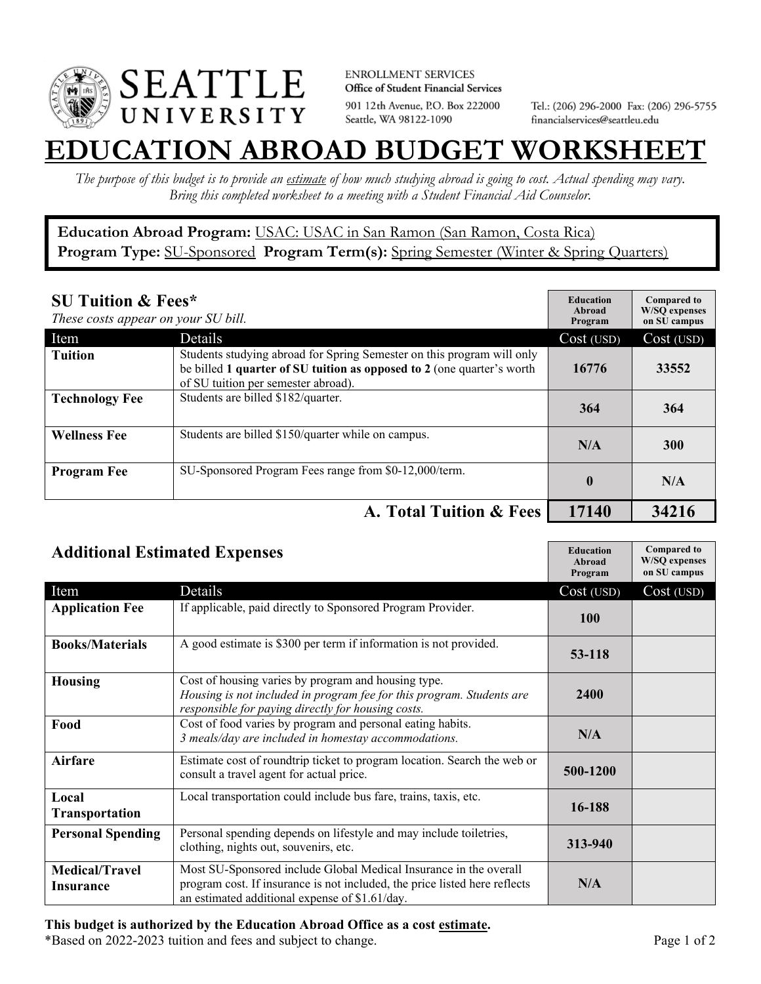

**ENROLLMENT SERVICES** Office of Student Financial Services 901 12th Avenue, P.O. Box 222000 Seattle, WA 98122-1090

Tel.: (206) 296-2000 Fax: (206) 296-5755 financialservices@seattleu.edu

## **EATION ABROAD BUDGET WORKSHEE**

*The purpose of this budget is to provide an estimate of how much studying abroad is going to cost. Actual spending may vary. Bring this completed worksheet to a meeting with a Student Financial Aid Counselor.* 

## **Education Abroad Program:** USAC: USAC in San Ramon (San Ramon, Costa Rica) Program Type: SU-Sponsored Program Term(s): Spring Semester (Winter & Spring Quarters)

| <b>SU Tuition &amp; Fees*</b><br>These costs appear on your SU bill. |                                                                                                                                                                                         | <b>Education</b><br>Abroad<br>Program | <b>Compared to</b><br><b>W/SO</b> expenses<br>on SU campus |
|----------------------------------------------------------------------|-----------------------------------------------------------------------------------------------------------------------------------------------------------------------------------------|---------------------------------------|------------------------------------------------------------|
| Item                                                                 | Details                                                                                                                                                                                 | Cost (USD)                            | Cost (USD)                                                 |
| <b>Tuition</b>                                                       | Students studying abroad for Spring Semester on this program will only<br>be billed 1 quarter of SU tuition as opposed to 2 (one quarter's worth<br>of SU tuition per semester abroad). | 16776                                 | 33552                                                      |
| <b>Technology Fee</b>                                                | Students are billed \$182/quarter.                                                                                                                                                      | 364                                   | 364                                                        |
| <b>Wellness Fee</b>                                                  | Students are billed \$150/quarter while on campus.                                                                                                                                      | N/A                                   | <b>300</b>                                                 |
| <b>Program Fee</b>                                                   | SU-Sponsored Program Fees range from \$0-12,000/term.                                                                                                                                   | $\mathbf{0}$                          | N/A                                                        |
|                                                                      | A. Total Tuition & Fees                                                                                                                                                                 | 17140                                 | 34216                                                      |

| <b>Additional Estimated Expenses</b> |                                                                                                                                                                                                   | <b>Education</b><br>Abroad<br>Program | <b>Compared to</b><br><b>W/SQ</b> expenses<br>on SU campus |
|--------------------------------------|---------------------------------------------------------------------------------------------------------------------------------------------------------------------------------------------------|---------------------------------------|------------------------------------------------------------|
| Item                                 | Details                                                                                                                                                                                           | Cost (USD)                            | Cost (USD)                                                 |
| <b>Application Fee</b>               | If applicable, paid directly to Sponsored Program Provider.                                                                                                                                       | <b>100</b>                            |                                                            |
| <b>Books/Materials</b>               | A good estimate is \$300 per term if information is not provided.                                                                                                                                 | 53-118                                |                                                            |
| <b>Housing</b>                       | Cost of housing varies by program and housing type.<br>Housing is not included in program fee for this program. Students are<br>responsible for paying directly for housing costs.                | 2400                                  |                                                            |
| Food                                 | Cost of food varies by program and personal eating habits.<br>3 meals/day are included in homestay accommodations.                                                                                | N/A                                   |                                                            |
| Airfare                              | Estimate cost of roundtrip ticket to program location. Search the web or<br>consult a travel agent for actual price.                                                                              | 500-1200                              |                                                            |
| Local<br><b>Transportation</b>       | Local transportation could include bus fare, trains, taxis, etc.                                                                                                                                  | 16-188                                |                                                            |
| <b>Personal Spending</b>             | Personal spending depends on lifestyle and may include toiletries,<br>clothing, nights out, souvenirs, etc.                                                                                       | 313-940                               |                                                            |
| <b>Medical/Travel</b><br>Insurance   | Most SU-Sponsored include Global Medical Insurance in the overall<br>program cost. If insurance is not included, the price listed here reflects<br>an estimated additional expense of \$1.61/day. | N/A                                   |                                                            |

## **This budget is authorized by the Education Abroad Office as a cost estimate.**

\*Based on 2022-2023 tuition and fees and subject to change. Page 1 of 2